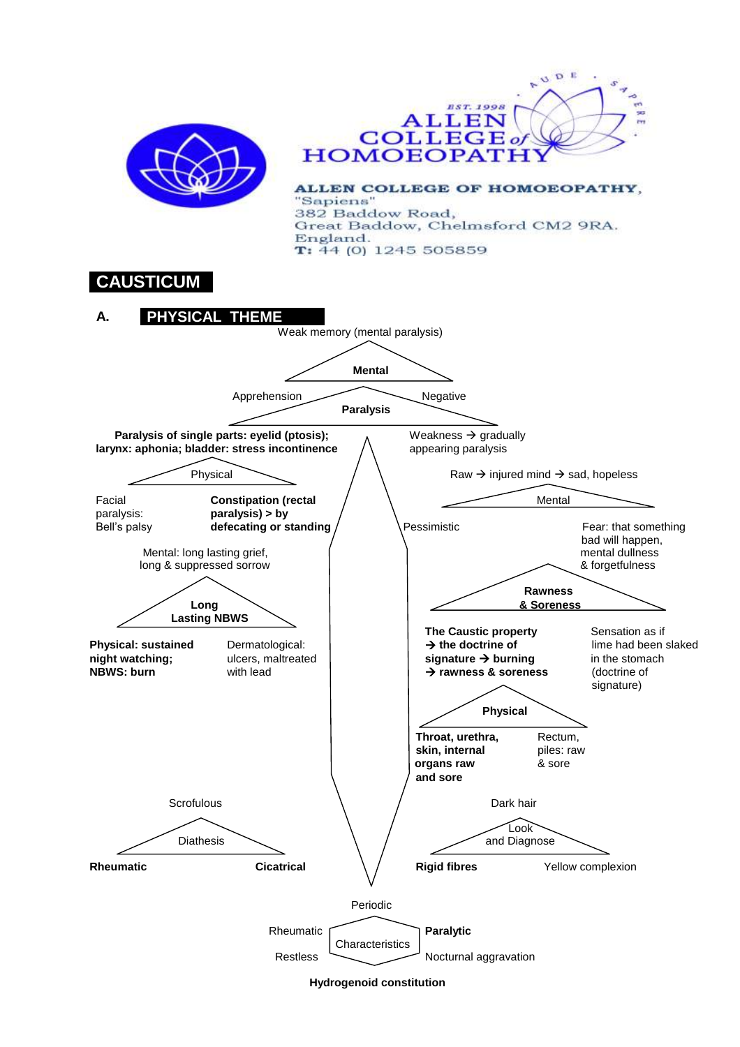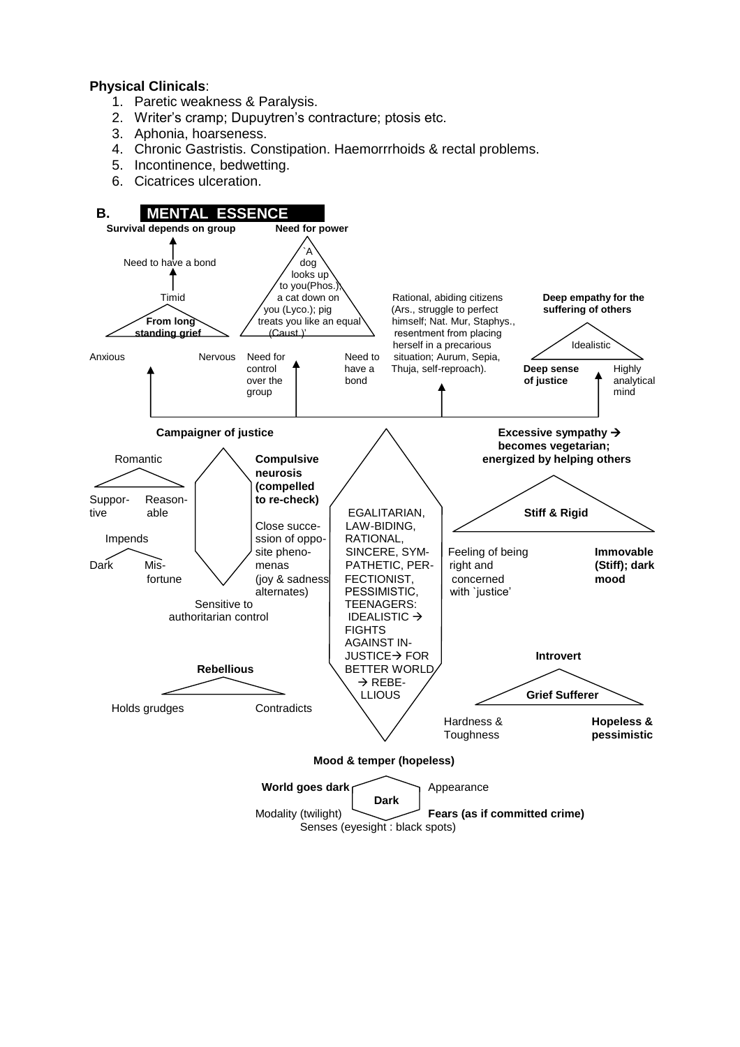#### **Physical Clinicals**:

- 1. Paretic weakness & Paralysis.
- 2. Writer's cramp; Dupuytren's contracture; ptosis etc.
- 3. Aphonia, hoarseness.
- 4. Chronic Gastristis. Constipation. Haemorrrhoids & rectal problems.
- 5. Incontinence, bedwetting.
- 6. Cicatrices ulceration.



Senses (eyesight : black spots)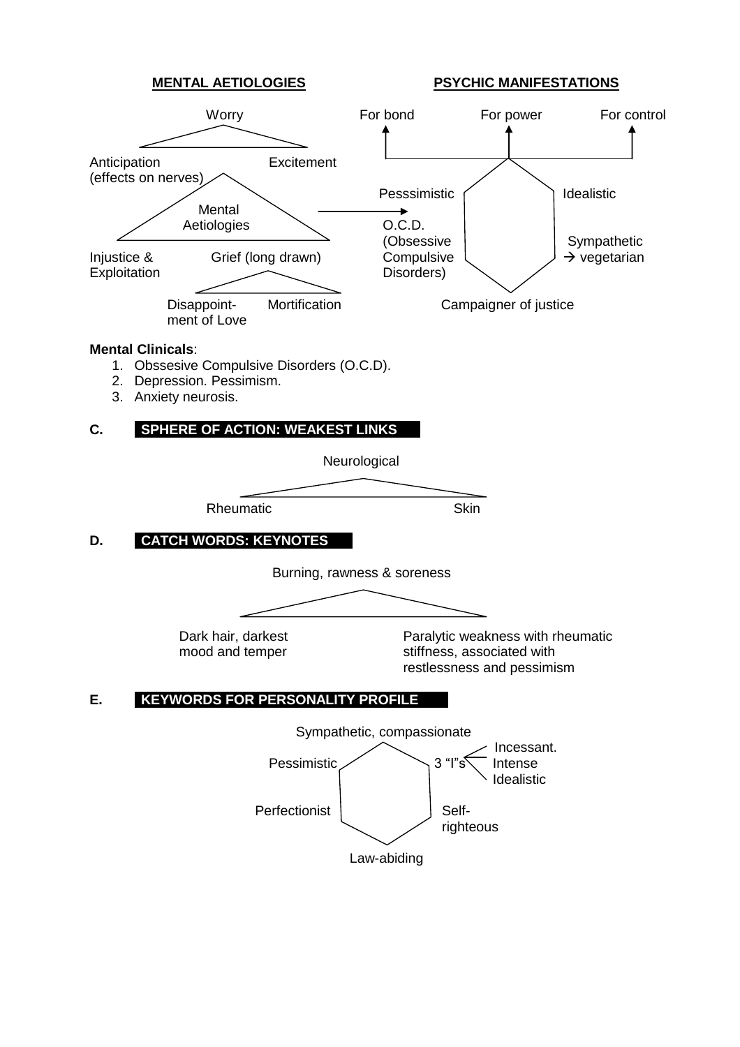